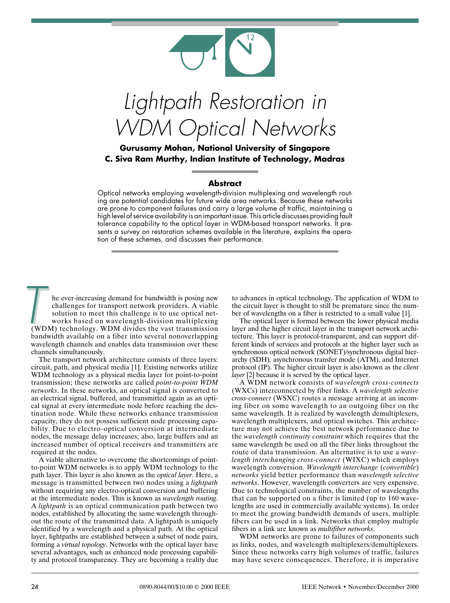



**Gurusamy Mohan, National University of Singapore C. Siva Ram Murthy, Indian Institute of Technology, Madras**

### **Abstract**

Optical networks employing wavelength-division multiplexing and wavelength routing are potential candidates for future wide area networks. Because these networks are prone to component failures and carry a large volume of traffic, maintaining a high level of service availability is an important issue. This article discusses providing fault tolerance capability to the optical layer in WDM-based transport networks. It presents a survey on restoration schemes available in the literature, explains the operation of these schemes, and discusses their performance.

he ever-increasing demand for bandwidth is posing new challenges for transport network providers. A viable solution to meet this challenge is to use optical networks based on wavelength-division multiplexing (WDM) technology. WDM divides the vast transmission bandwidth available on a fiber into several nonoverlapping wavelength channels and enables data transmission over these channels simultaneously. T **T**<br>*<u>T</u></del><br> T</del>* 

The transport network architecture consists of three layers: circuit, path, and physical media [1]. Existing networks utilize WDM technology as a physical media layer for point-to-point transmission; these networks are called *point-to-point WDM networks*. In these networks, an optical signal is converted to an electrical signal, buffered, and transmitted again as an optical signal at every intermediate node before reaching the destination node. While these networks enhance transmission capacity, they do not possess sufficient node processing capability. Due to electro-optical conversion at intermediate nodes, the message delay increases; also, large buffers and an increased number of optical receivers and transmitters are required at the nodes.

A viable alternative to overcome the shortcomings of pointto-point WDM networks is to apply WDM technology to the path layer. This layer is also known as the *optical layer*. Here, a message is transmitted between two nodes using a *lightpath* without requiring any electro-optical conversion and buffering at the intermediate nodes. This is known as *wavelength routing*. A *lightpath* is an optical communication path between two nodes, established by allocating the same wavelength throughout the route of the transmitted data. A lightpath is uniquely identified by a wavelength and a physical path. At the optical layer, lightpaths are established between a subset of node pairs, forming a *virtual topology*. Networks with the optical layer have several advantages, such as enhanced node processing capability and protocol transparency. They are becoming a reality due

to advances in optical technology. The application of WDM to the circuit layer is thought to still be premature since the number of wavelengths on a fiber is restricted to a small value [1].

The optical layer is formed between the lower physical media layer and the higher circuit layer in the transport network architecture. This layer is protocol-transparent, and can support different kinds of services and protocols at the higher layer such as synchronous optical network (SONET)/synchronous digital hierarchy (SDH), asynchronous transfer mode (ATM), and Internet protocol (IP). The higher circuit layer is also known as the *client layer* [2] because it is served by the optical layer.

A WDM network consists of *wavelength cross-connects* (WXCs) interconnected by fiber links. A *wavelength selective cross-connect* (WSXC) routes a message arriving at an incoming fiber on some wavelength to an outgoing fiber on the same wavelength. It is realized by wavelength demultiplexers, wavelength multiplexers, and optical switches. This architecture may not achieve the best network performance due to the *wavelength continuity constraint* which requires that the same wavelength be used on all the fiber links throughout the route of data transmission. An alternative is to use a *wavelength interchanging cross-connect* (WIXC) which employs wavelength conversion. *Wavelength interchange* (*convertible*) *networks* yield better performance than *wavelength selective networks*. However, wavelength converters are very expensive. Due to technological constraints, the number of wavelengths that can be supported on a fiber is limited (up to 160 wavelengths are used in commercially available systems). In order to meet the growing bandwidth demands of users, multiple fibers can be used in a link. Networks that employ multiple fibers in a link are known as *multifiber networks*.

WDM networks are prone to failures of components such as links, nodes, and wavelength multiplexers/demultiplexers. Since these networks carry high volumes of traffic, failures may have severe consequences. Therefore, it is imperative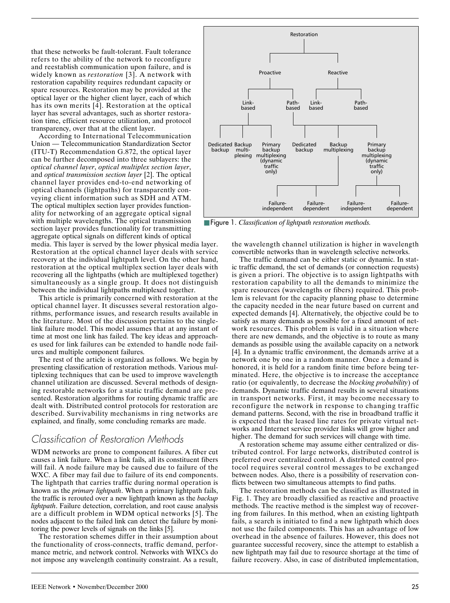that these networks be fault-tolerant. Fault tolerance refers to the ability of the network to reconfigure and reestablish communication upon failure, and is widely known as *restoration* [3]. A network with restoration capability requires redundant capacity or spare resources. Restoration may be provided at the optical layer or the higher client layer, each of which has its own merits [4]. Restoration at the optical layer has several advantages, such as shorter restoration time, efficient resource utilization, and protocol transparency, over that at the client layer.

According to International Telecommunication Union — Telecommunication Standardization Sector (ITU-T) Recommendation G.872, the optical layer can be further decomposed into three sublayers: the *optical channel layer*, *optical multiplex section layer*, and *optical transmission section layer* [2]. The optical channel layer provides end-to-end networking of optical channels (lightpaths) for transparently conveying client information such as SDH and ATM. The optical multiplex section layer provides functionality for networking of an aggregate optical signal with multiple wavelengths. The optical transmission section layer provides functionality for transmitting aggregate optical signals on different kinds of optical

media. This layer is served by the lower physical media layer. Restoration at the optical channel layer deals with service recovery at the individual lightpath level. On the other hand, restoration at the optical multiplex section layer deals with recovering all the lightpaths (which are multiplexed together) simultaneously as a single group. It does not distinguish between the individual lightpaths multiplexed together.

This article is primarily concerned with restoration at the optical channel layer. It discusses several restoration algorithms, performance issues, and research results available in the literature. Most of the discussion pertains to the singlelink failure model. This model assumes that at any instant of time at most one link has failed. The key ideas and approaches used for link failures can be extended to handle node failures and multiple component failures.

The rest of the article is organized as follows. We begin by presenting classification of restoration methods. Various multiplexing techniques that can be used to improve wavelength channel utilization are discussed. Several methods of designing restorable networks for a static traffic demand are presented. Restoration algorithms for routing dynamic traffic are dealt with. Distributed control protocols for restoration are described. Survivability mechanisms in ring networks are explained, and finally, some concluding remarks are made.

# *Classification of Restoration Methods*

WDM networks are prone to component failures. A fiber cut causes a link failure. When a link fails, all its constituent fibers will fail. A node failure may be caused due to failure of the WXC. A fiber may fail due to failure of its end components. The lightpath that carries traffic during normal operation is known as the *primary lightpath*. When a primary lightpath fails, the traffic is rerouted over a new lightpath known as the *backup lightpath*. Failure detection, correlation, and root cause analysis are a difficult problem in WDM optical networks [5]. The nodes adjacent to the failed link can detect the failure by monitoring the power levels of signals on the links [5].

The restoration schemes differ in their assumption about the functionality of cross-connects, traffic demand, performance metric, and network control. Networks with WIXCs do not impose any wavelength continuity constraint. As a result,



■ Figure 1. *Classification of lightpath restoration methods*.

the wavelength channel utilization is higher in wavelength convertible networks than in wavelength selective networks.

The traffic demand can be either static or dynamic. In static traffic demand, the set of demands (or connection requests) is given a priori. The objective is to assign lightpaths with restoration capability to all the demands to minimize the spare resources (wavelengths or fibers) required. This problem is relevant for the capacity planning phase to determine the capacity needed in the near future based on current and expected demands [4]. Alternatively, the objective could be to satisfy as many demands as possible for a fixed amount of network resources. This problem is valid in a situation where there are new demands, and the objective is to route as many demands as possible using the available capacity on a network [4]. In a dynamic traffic environment, the demands arrive at a network one by one in a random manner. Once a demand is honored, it is held for a random finite time before being terminated. Here, the objective is to increase the acceptance ratio (or equivalently, to decrease the *blocking probability*) of demands. Dynamic traffic demand results in several situations in transport networks. First, it may become necessary to reconfigure the network in response to changing traffic demand patterns. Second, with the rise in broadband traffic it is expected that the leased line rates for private virtual networks and Internet service provider links will grow higher and higher. The demand for such services will change with time.

A restoration scheme may assume either centralized or distributed control. For large networks, distributed control is preferred over centralized control. A distributed control protocol requires several control messages to be exchanged between nodes. Also, there is a possibility of reservation conflicts between two simultaneous attempts to find paths.

The restoration methods can be classified as illustrated in Fig. 1. They are broadly classified as reactive and proactive methods. The reactive method is the simplest way of recovering from failures. In this method, when an existing lightpath fails, a search is initiated to find a new lightpath which does not use the failed components. This has an advantage of low overhead in the absence of failures. However, this does not guarantee successful recovery, since the attempt to establish a new lightpath may fail due to resource shortage at the time of failure recovery. Also, in case of distributed implementation,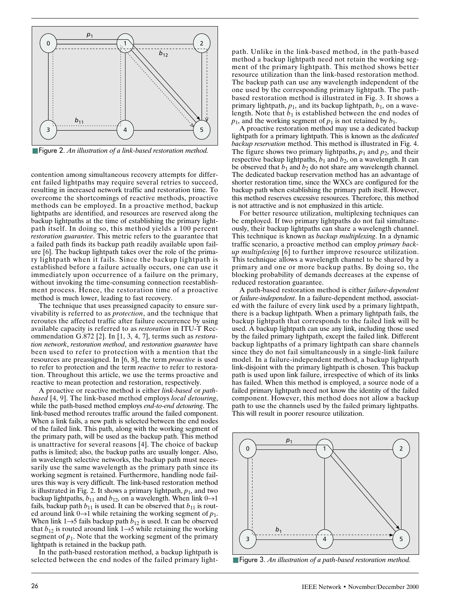

■ Figure 2. *An illustration of a link-based restoration method.* 

contention among simultaneous recovery attempts for different failed lightpaths may require several retries to succeed, resulting in increased network traffic and restoration time. To overcome the shortcomings of reactive methods, proactive methods can be employed. In a proactive method, backup lightpaths are identified, and resources are reserved along the backup lightpaths at the time of establishing the primary lightpath itself. In doing so, this method yields a 100 percent *restoration guarantee*. This metric refers to the guarantee that a failed path finds its backup path readily available upon failure [6]. The backup lightpath takes over the role of the primary lightpath when it fails. Since the backup lightpath is established before a failure actually occurs, one can use it immediately upon occurrence of a failure on the primary, without invoking the time-consuming connection reestablishment process. Hence, the restoration time of a proactive method is much lower, leading to fast recovery.

The technique that uses preassigned capacity to ensure survivability is referred to as *protection*, and the technique that reroutes the affected traffic after failure occurrence by using available capacity is referred to as *restoration* in ITU-T Recommendation G.872 [2]. In [1, 3, 4, 7], terms such as *restoration network*, *restoration method*, and *restoration guarantee* have been used to refer to protection with a mention that the resources are preassigned. In [6, 8], the term *proactive* is used to refer to protection and the term *reactive* to refer to restoration. Throughout this article, we use the terms proactive and reactive to mean protection and restoration, respectively.

A proactive or reactive method is either *link-based* or *pathbased* [4, 9]. The link-based method employs *local detouring*, while the path-based method employs *end-to-end detouring*. The link-based method reroutes traffic around the failed component. When a link fails, a new path is selected between the end nodes of the failed link. This path, along with the working segment of the primary path, will be used as the backup path. This method is unattractive for several reasons [4]. The choice of backup paths is limited; also, the backup paths are usually longer. Also, in wavelength selective networks, the backup path must necessarily use the same wavelength as the primary path since its working segment is retained. Furthermore, handling node failures this way is very difficult. The link-based restoration method is illustrated in Fig. 2. It shows a primary lightpath,  $p_1$ , and two backup lightpaths,  $b_{11}$  and  $b_{12}$ , on a wavelength. When link  $0 \rightarrow 1$ fails, backup path  $b_{11}$  is used. It can be observed that  $b_{11}$  is routed around link  $0 \rightarrow 1$  while retaining the working segment of  $p_1$ . When link  $1\rightarrow 5$  fails backup path  $b_{12}$  is used. It can be observed that  $b_{12}$  is routed around link  $1 \rightarrow 5$  while retaining the working segment of  $p_1$ . Note that the working segment of the primary lightpath is retained in the backup path.

In the path-based restoration method, a backup lightpath is selected between the end nodes of the failed primary light-

path. Unlike in the link-based method, in the path-based method a backup lightpath need not retain the working segment of the primary lightpath. This method shows better resource utilization than the link-based restoration method. The backup path can use any wavelength independent of the one used by the corresponding primary lightpath. The pathbased restoration method is illustrated in Fig. 3. It shows a primary lightpath,  $p_1$ , and its backup lightpath,  $b_1$ , on a wavelength. Note that  $b_1$  is established between the end nodes of  $p_1$ , and the working segment of  $p_1$  is not retained by  $b_1$ .

A proactive restoration method may use a dedicated backup lightpath for a primary lightpath. This is known as the *dedicated backup reservation* method. This method is illustrated in Fig. 4. The figure shows two primary lightpaths,  $p_1$  and  $p_2$ , and their respective backup lightpaths,  $b_1$  and  $b_2$ , on a wavelength. It can be observed that  $b_1$  and  $b_2$  do not share any wavelength channel. The dedicated backup reservation method has an advantage of shorter restoration time, since the WXCs are configured for the backup path when establishing the primary path itself. However, this method reserves excessive resources. Therefore, this method is not attractive and is not emphasized in this article.

For better resource utilization, multiplexing techniques can be employed. If two primary lightpaths do not fail simultaneously, their backup lightpaths can share a wavelength channel. This technique is known as *backup multiplexing*. In a dynamic traffic scenario, a proactive method can employ *primary backup multiplexing* [6] to further improve resource utilization. This technique allows a wavelength channel to be shared by a primary and one or more backup paths. By doing so, the blocking probability of demands decreases at the expense of reduced restoration guarantee.

A path-based restoration method is either *failure-dependent* or *failure-independent*. In a failure-dependent method, associated with the failure of every link used by a primary lightpath, there is a backup lightpath. When a primary lightpath fails, the backup lightpath that corresponds to the failed link will be used. A backup lightpath can use any link, including those used by the failed primary lightpath, except the failed link. Different backup lightpaths of a primary lightpath can share channels since they do not fail simultaneously in a single-link failure model. In a failure-independent method, a backup lightpath link-disjoint with the primary lightpath is chosen. This backup path is used upon link failure, irrespective of which of its links has failed. When this method is employed, a source node of a failed primary lightpath need not know the identity of the failed component. However, this method does not allow a backup path to use the channels used by the failed primary lightpaths. This will result in poorer resource utilization.



■ Figure 3. *An illustration of a path-based restoration method.*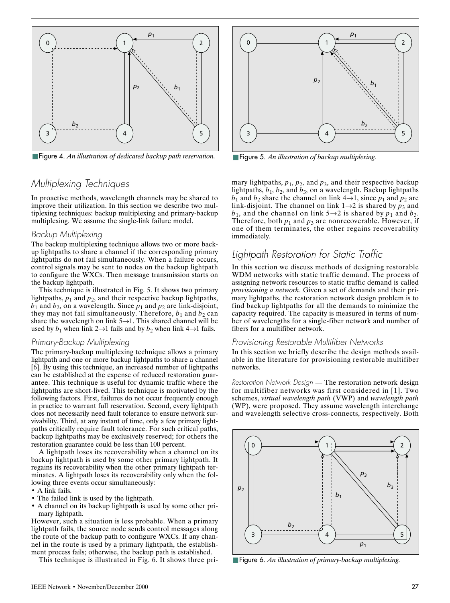

■ Figure 4. An illustration of dedicated backup path reservation.

# *Multiplexing Techniques*

In proactive methods, wavelength channels may be shared to improve their utilization. In this section we describe two multiplexing techniques: backup multiplexing and primary-backup multiplexing. We assume the single-link failure model.

### *Backup Multiplexing*

The backup multiplexing technique allows two or more backup lightpaths to share a channel if the corresponding primary lightpaths do not fail simultaneously. When a failure occurs, control signals may be sent to nodes on the backup lightpath to configure the WXCs. Then message transmission starts on the backup lightpath.

This technique is illustrated in Fig. 5. It shows two primary lightpaths,  $p_1$  and  $p_2$ , and their respective backup lightpaths,  $b_1$  and  $b_2$ , on a wavelength. Since  $p_1$  and  $p_2$  are link-disjoint, they may not fail simultaneously. Therefore,  $b_1$  and  $b_2$  can share the wavelength on link  $5\rightarrow 1$ . This shared channel will be used by  $b_1$  when link  $2\rightarrow 1$  fails and by  $b_2$  when link  $4\rightarrow 1$  fails.

### *Primary-Backup Multiplexing*

The primary-backup multiplexing technique allows a primary lightpath and one or more backup lightpaths to share a channel [6]. By using this technique, an increased number of lightpaths can be established at the expense of reduced restoration guarantee. This technique is useful for dynamic traffic where the lightpaths are short-lived. This technique is motivated by the following factors. First, failures do not occur frequently enough in practice to warrant full reservation. Second, every lightpath does not necessarily need fault tolerance to ensure network survivability. Third, at any instant of time, only a few primary lightpaths critically require fault tolerance. For such critical paths, backup lightpaths may be exclusively reserved; for others the restoration guarantee could be less than 100 percent.

A lightpath loses its recoverability when a channel on its backup lightpath is used by some other primary lightpath. It regains its recoverability when the other primary lightpath terminates. A lightpath loses its recoverability only when the following three events occur simultaneously:

- A link fails.
- The failed link is used by the lightpath.
- A channel on its backup lightpath is used by some other primary lightpath.

However, such a situation is less probable. When a primary lightpath fails, the source node sends control messages along the route of the backup path to configure WXCs. If any channel in the route is used by a primary lightpath, the establishment process fails; otherwise, the backup path is established.

This technique is illustrated in Fig. 6. It shows three pri-



■ Figure 5. An illustration of backup multiplexing.

mary lightpaths,  $p_1$ ,  $p_2$ , and  $p_3$ , and their respective backup lightpaths,  $b_1$ ,  $b_2$ , and  $b_3$ , on a wavelength. Backup lightpaths  $b_1$  and  $b_2$  share the channel on link  $4 \rightarrow 1$ , since  $p_1$  and  $p_2$  are link-disjoint. The channel on link  $1\rightarrow 2$  is shared by  $p_3$  and  $b_1$ , and the channel on link  $5\rightarrow 2$  is shared by  $p_1$  and  $b_3$ . Therefore, both  $p_1$  and  $p_3$  are nonrecoverable. However, if one of them terminates, the other regains recoverability immediately.

# *Lightpath Restoration for Static Traffic*

In this section we discuss methods of designing restorable WDM networks with static traffic demand. The process of assigning network resources to static traffic demand is called *provisioning a network*. Given a set of demands and their primary lightpaths, the restoration network design problem is to find backup lightpaths for all the demands to minimize the capacity required. The capacity is measured in terms of number of wavelengths for a single-fiber network and number of fibers for a multifiber network.

### *Provisioning Restorable Multifiber Networks*

In this section we briefly describe the design methods available in the literature for provisioning restorable multifiber networks.

*Restoration Network Design* — The restoration network design for multifiber networks was first considered in [1]. Two schemes, *virtual wavelength path* (VWP) and *wavelength path* (WP), were proposed. They assume wavelength interchange and wavelength selective cross-connects, respectively. Both



■ Figure 6. *An illustration of primary-backup multiplexing*.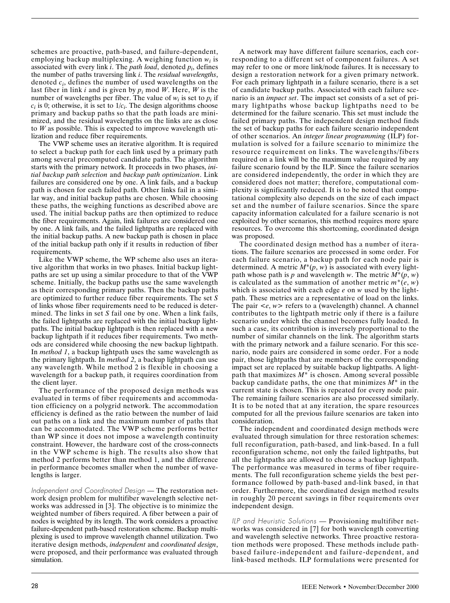schemes are proactive, path-based, and failure-dependent, employing backup multiplexing. A weighing function  $w_i$  is associated with every link  $i$ . The *path load*, denoted  $p_i$ , defines the number of paths traversing link *i*. The *residual wavelengths*, denoted *ci*, defines the number of used wavelengths on the last fiber in link *i* and is given by *pi* mod *W*. Here, *W* is the number of wavelengths per fiber. The value of  $w_i$  is set to  $p_i$  if  $c_i$  is 0; otherwise, it is set to  $1/c_i$ . The design algorithms choose primary and backup paths so that the path loads are minimized, and the residual wavelengths on the links are as close to *W* as possible. This is expected to improve wavelength utilization and reduce fiber requirements.

The VWP scheme uses an iterative algorithm. It is required to select a backup path for each link used by a primary path among several precomputed candidate paths. The algorithm starts with the primary network. It proceeds in two phases, *initial backup path selection* and *backup path optimization*. Link failures are considered one by one. A link fails, and a backup path is chosen for each failed path. Other links fail in a similar way, and initial backup paths are chosen. While choosing these paths, the weighing functions as described above are used. The initial backup paths are then optimized to reduce the fiber requirements. Again, link failures are considered one by one. A link fails, and the failed lightpaths are replaced with the initial backup paths. A new backup path is chosen in place of the initial backup path only if it results in reduction of fiber requirements.

Like the VWP scheme, the WP scheme also uses an iterative algorithm that works in two phases. Initial backup lightpaths are set up using a similar procedure to that of the VWP scheme. Initially, the backup paths use the same wavelength as their corresponding primary paths. Then the backup paths are optimized to further reduce fiber requirements. The set *S* of links whose fiber requirements need to be reduced is determined. The links in set *S* fail one by one. When a link fails, the failed lightpaths are replaced with the initial backup lightpaths. The initial backup lightpath is then replaced with a new backup lightpath if it reduces fiber requirements. Two methods are considered while choosing the new backup lightpath. In *method 1*, a backup lightpath uses the same wavelength as the primary lightpath. In *method 2*, a backup lightpath can use any wavelength. While method 2 is flexible in choosing a wavelength for a backup path, it requires coordination from the client layer.

The performance of the proposed design methods was evaluated in terms of fiber requirements and accommodation efficiency on a polygrid network. The accommodation efficiency is defined as the ratio between the number of laid out paths on a link and the maximum number of paths that can be accommodated. The VWP scheme performs better than WP since it does not impose a wavelength continuity constraint. However, the hardware cost of the cross-connects in the VWP scheme is high. The results also show that method 2 performs better than method 1, and the difference in performance becomes smaller when the number of wavelengths is larger.

*Independent and Coordinated Design* — The restoration network design problem for multifiber wavelength selective networks was addressed in [3]. The objective is to minimize the weighted number of fibers required. A fiber between a pair of nodes is weighted by its length. The work considers a proactive failure-dependent path-based restoration scheme. Backup multiplexing is used to improve wavelength channel utilization. Two iterative design methods, *independent* and *coordinated design*, were proposed, and their performance was evaluated through simulation.

A network may have different failure scenarios, each corresponding to a different set of component failures. A set may refer to one or more link/node failures. It is necessary to design a restoration network for a given primary network. For each primary lightpath in a failure scenario, there is a set of candidate backup paths. Associated with each failure scenario is an *impact set*. The impact set consists of a set of primary lightpaths whose backup lightpaths need to be determined for the failure scenario. This set must include the failed primary paths. The independent design method finds the set of backup paths for each failure scenario independent of other scenarios. An *integer linear programming* (ILP) formulation is solved for a failure scenario to minimize the resource requirement on links. The wavelengths/fibers required on a link will be the maximum value required by any failure scenario found by the ILP. Since the failure scenarios are considered independently, the order in which they are considered does not matter; therefore, computational complexity is significantly reduced. It is to be noted that computational complexity also depends on the size of each impact set and the number of failure scenarios. Since the spare capacity information calculated for a failure scenario is not exploited by other scenarios, this method requires more spare resources. To overcome this shortcoming, coordinated design was proposed.

The coordinated design method has a number of iterations. The failure scenarios are processed in some order. For each failure scenario, a backup path for each node pair is determined. A metric  $M^*(p, w)$  is associated with every lightpath whose path is *p* and wavelength *w*. The metric  $M^*(p, w)$ is calculated as the summation of another metric  $m^*(e, w)$ which is associated with each edge *e* on *w* used by the lightpath. These metrics are a representative of load on the links. The pair  $\langle e, w \rangle$  refers to a (wavelength) channel. A channel contributes to the lightpath metric only if there is a failure scenario under which the channel becomes fully loaded. In such a case, its contribution is inversely proportional to the number of similar channels on the link. The algorithm starts with the primary network and a failure scenario. For this scenario, node pairs are considered in some order. For a node pair, those lightpaths that are members of the corresponding impact set are replaced by suitable backup lightpaths. A lightpath that maximizes *M*\* is chosen. Among several possible backup candidate paths, the one that minimizes *M*\* in the current state is chosen. This is repeated for every node pair. The remaining failure scenarios are also processed similarly. It is to be noted that at any iteration, the spare resources computed for all the previous failure scenarios are taken into consideration.

The independent and coordinated design methods were evaluated through simulation for three restoration schemes: full reconfiguration, path-based, and link-based. In a full reconfiguration scheme, not only the failed lightpaths, but all the lightpaths are allowed to choose a backup lightpath. The performance was measured in terms of fiber requirements. The full reconfiguration scheme yields the best performance followed by path-based and-link based, in that order. Furthermore, the coordinated design method results in roughly 20 percent savings in fiber requirements over independent design.

*ILP and Heuristic Solutions* — Provisioning multifiber networks was considered in [7] for both wavelength converting and wavelength selective networks. Three proactive restoration methods were proposed. These methods include pathbased failure-independent and failure-dependent, and link-based methods. ILP formulations were presented for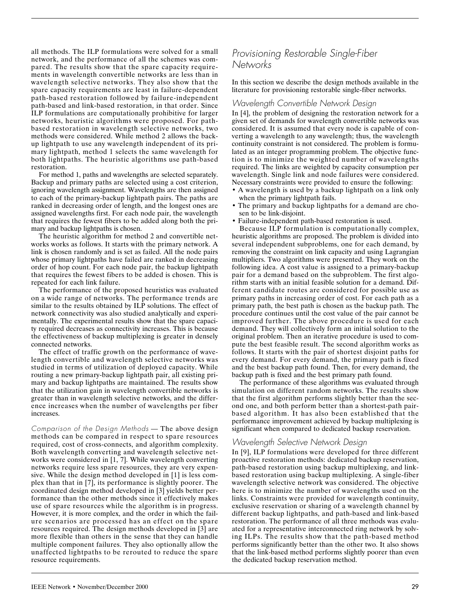all methods. The ILP formulations were solved for a small network, and the performance of all the schemes was compared. The results show that the spare capacity requirements in wavelength convertible networks are less than in wavelength selective networks. They also show that the spare capacity requirements are least in failure-dependent path-based restoration followed by failure-independent path-based and link-based restoration, in that order. Since ILP formulations are computationally prohibitive for larger networks, heuristic algorithms were proposed. For pathbased restoration in wavelength selective networks, two methods were considered. While method 2 allows the backup lightpath to use any wavelength independent of its primary lightpath, method 1 selects the same wavelength for both lightpaths. The heuristic algorithms use path-based restoration.

For method 1, paths and wavelengths are selected separately. Backup and primary paths are selected using a cost criterion, ignoring wavelength assignment. Wavelengths are then assigned to each of the primary-backup lightpath pairs. The paths are ranked in decreasing order of length, and the longest ones are assigned wavelengths first. For each node pair, the wavelength that requires the fewest fibers to be added along both the primary and backup lightpaths is chosen.

The heuristic algorithm for method 2 and convertible networks works as follows. It starts with the primary network. A link is chosen randomly and is set as failed. All the node pairs whose primary lightpaths have failed are ranked in decreasing order of hop count. For each node pair, the backup lightpath that requires the fewest fibers to be added is chosen. This is repeated for each link failure.

The performance of the proposed heuristics was evaluated on a wide range of networks. The performance trends are similar to the results obtained by ILP solutions. The effect of network connectivity was also studied analytically and experimentally. The experimental results show that the spare capacity required decreases as connectivity increases. This is because the effectiveness of backup multiplexing is greater in densely connected networks.

The effect of traffic growth on the performance of wavelength convertible and wavelength selective networks was studied in terms of utilization of deployed capacity. While routing a new primary-backup lightpath pair, all existing primary and backup lightpaths are maintained. The results show that the utilization gain in wavelength convertible networks is greater than in wavelength selective networks, and the difference increases when the number of wavelengths per fiber increases.

*Comparison of the Design Methods* — The above design methods can be compared in respect to spare resources required, cost of cross-connects, and algorithm complexity. Both wavelength converting and wavelength selective networks were considered in [1, 7]. While wavelength converting networks require less spare resources, they are very expensive. While the design method developed in [1] is less complex than that in [7], its performance is slightly poorer. The coordinated design method developed in [3] yields better performance than the other methods since it effectively makes use of spare resources while the algorithm is in progress. However, it is more complex, and the order in which the failure scenarios are processed has an effect on the spare resources required. The design methods developed in [3] are more flexible than others in the sense that they can handle multiple component failures. They also optionally allow the unaffected lightpaths to be rerouted to reduce the spare resource requirements.

# *Provisioning Restorable Single-Fiber Networks*

In this section we describe the design methods available in the literature for provisioning restorable single-fiber networks.

### *Wavelength Convertible Network Design*

In [4], the problem of designing the restoration network for a given set of demands for wavelength convertible networks was considered. It is assumed that every node is capable of converting a wavelength to any wavelength; thus, the wavelength continuity constraint is not considered. The problem is formulated as an integer programming problem. The objective function is to minimize the weighted number of wavelengths required. The links are weighted by capacity consumption per wavelength. Single link and node failures were considered. Necessary constraints were provided to ensure the following:

- A wavelength is used by a backup lightpath on a link only when the primary lightpath fails.
- The primary and backup lightpaths for a demand are chosen to be link-disjoint.
- Failure-independent path-based restoration is used.

Because ILP formulation is computationally complex, heuristic algorithms are proposed. The problem is divided into several independent subproblems, one for each demand, by removing the constraint on link capacity and using Lagrangian multipliers. Two algorithms were presented. They work on the following idea. A cost value is assigned to a primary-backup pair for a demand based on the subproblem. The first algorithm starts with an initial feasible solution for a demand. Different candidate routes are considered for possible use as primary paths in increasing order of cost. For each path as a primary path, the best path is chosen as the backup path. The procedure continues until the cost value of the pair cannot be improved further. The above procedure is used for each demand. They will collectively form an initial solution to the original problem. Then an iterative procedure is used to compute the best feasible result. The second algorithm works as follows. It starts with the pair of shortest disjoint paths for every demand. For every demand, the primary path is fixed and the best backup path found. Then, for every demand, the backup path is fixed and the best primary path found.

The performance of these algorithms was evaluated through simulation on different random networks. The results show that the first algorithm performs slightly better than the second one, and both perform better than a shortest-path pairbased algorithm. It has also been established that the performance improvement achieved by backup multiplexing is significant when compared to dedicated backup reservation.

### *Wavelength Selective Network Design*

In [9], ILP formulations were developed for three different proactive restoration methods: dedicated backup reservation, path-based restoration using backup multiplexing, and linkbased restoration using backup multiplexing. A single-fiber wavelength selective network was considered. The objective here is to minimize the number of wavelengths used on the links. Constraints were provided for wavelength continuity, exclusive reservation or sharing of a wavelength channel by different backup lightpaths, and path-based and link-based restoration. The performance of all three methods was evaluated for a representative interconnected ring network by solving ILPs. The results show that the path-based method performs significantly better than the other two. It also shows that the link-based method performs slightly poorer than even the dedicated backup reservation method.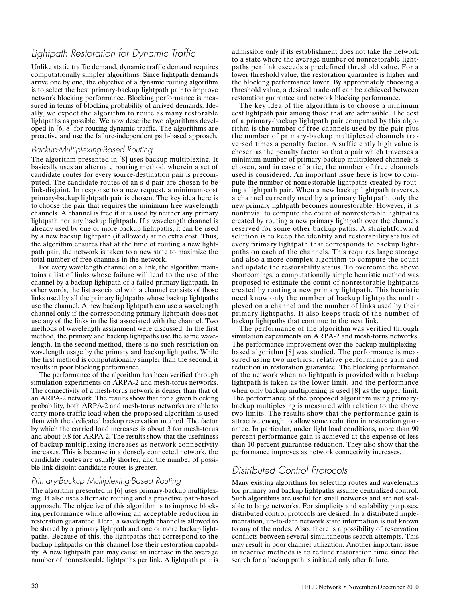# *Lightpath Restoration for Dynamic Traffic*

Unlike static traffic demand, dynamic traffic demand requires computationally simpler algorithms. Since lightpath demands arrive one by one, the objective of a dynamic routing algorithm is to select the best primary-backup lightpath pair to improve network blocking performance. Blocking performance is measured in terms of blocking probability of arrived demands. Ideally, we expect the algorithm to route as many restorable lightpaths as possible. We now describe two algorithms developed in [6, 8] for routing dynamic traffic. The algorithms are proactive and use the failure-independent path-based approach.

### *Backup-Multiplexing-Based Routing*

The algorithm presented in [8] uses backup multiplexing. It basically uses an alternate routing method, wherein a set of candidate routes for every source-destination pair is precomputed. The candidate routes of an s-d pair are chosen to be link-disjoint. In response to a new request, a minimum-cost primary-backup lightpath pair is chosen. The key idea here is to choose the pair that requires the minimum free wavelength channels. A channel is free if it is used by neither any primary lightpath nor any backup lightpath. If a wavelength channel is already used by one or more backup lightpaths, it can be used by a new backup lightpath (if allowed) at no extra cost. Thus, the algorithm ensures that at the time of routing a new lightpath pair, the network is taken to a new state to maximize the total number of free channels in the network.

For every wavelength channel on a link, the algorithm maintains a list of links whose failure will lead to the use of the channel by a backup lightpath of a failed primary lightpath. In other words, the list associated with a channel consists of those links used by all the primary lightpaths whose backup lightpaths use the channel. A new backup lightpath can use a wavelength channel only if the corresponding primary lightpath does not use any of the links in the list associated with the channel. Two methods of wavelength assignment were discussed. In the first method, the primary and backup lightpaths use the same wavelength. In the second method, there is no such restriction on wavelength usage by the primary and backup lightpaths. While the first method is computationally simpler than the second, it results in poor blocking performance.

The performance of the algorithm has been verified through simulation experiments on ARPA-2 and mesh-torus networks. The connectivity of a mesh-torus network is denser than that of an ARPA-2 network. The results show that for a given blocking probability, both ARPA-2 and mesh-torus networks are able to carry more traffic load when the proposed algorithm is used than with the dedicated backup reservation method. The factor by which the carried load increases is about 3 for mesh-torus and about 0.8 for ARPA-2. The results show that the usefulness of backup multiplexing increases as network connectivity increases. This is because in a densely connected network, the candidate routes are usually shorter, and the number of possible link-disjoint candidate routes is greater.

### *Primary-Backup Multiplexing-Based Routing*

The algorithm presented in [6] uses primary-backup multiplexing. It also uses alternate routing and a proactive path-based approach. The objective of this algorithm is to improve blocking performance while allowing an acceptable reduction in restoration guarantee. Here, a wavelength channel is allowed to be shared by a primary lightpath and one or more backup lightpaths. Because of this, the lightpaths that correspond to the backup lightpaths on this channel lose their restoration capability. A new lightpath pair may cause an increase in the average number of nonrestorable lightpaths per link. A lightpath pair is

admissible only if its establishment does not take the network to a state where the average number of nonrestorable lightpaths per link exceeds a predefined threshold value. For a lower threshold value, the restoration guarantee is higher and the blocking performance lower. By appropriately choosing a threshold value, a desired trade-off can be achieved between restoration guarantee and network blocking performance.

The key idea of the algorithm is to choose a minimum cost lightpath pair among those that are admissible. The cost of a primary-backup lightpath pair computed by this algorithm is the number of free channels used by the pair plus the number of primary-backup multiplexed channels traversed times a penalty factor. A sufficiently high value is chosen as the penalty factor so that a pair which traverses a minimum number of primary-backup multiplexed channels is chosen, and in case of a tie, the number of free channels used is considered. An important issue here is how to compute the number of nonrestorable lightpaths created by routing a lightpath pair. When a new backup lightpath traverses a channel currently used by a primary lightpath, only the new primary lightpath becomes nonrestorable. However, it is nontrivial to compute the count of nonrestorable lightpaths created by routing a new primary lightpath over the channels reserved for some other backup paths. A straightforward solution is to keep the identity and restorability status of every primary lightpath that corresponds to backup lightpaths on each of the channels. This requires large storage and also a more complex algorithm to compute the count and update the restorability status. To overcome the above shortcomings, a computationally simple heuristic method was proposed to estimate the count of nonrestorable lightpaths created by routing a new primary lightpath. This heuristic need know only the number of backup lightpaths multiplexed on a channel and the number of links used by their primary lightpaths. It also keeps track of the number of backup lightpaths that continue to the next link.

The performance of the algorithm was verified through simulation experiments on ARPA-2 and mesh-torus networks. The performance improvement over the backup-multiplexingbased algorithm [8] was studied. The performance is measured using two metrics: relative performance gain and reduction in restoration guarantee. The blocking performance of the network when no lightpath is provided with a backup lightpath is taken as the lower limit, and the performance when only backup multiplexing is used [8] as the upper limit. The performance of the proposed algorithm using primarybackup multiplexing is measured with relation to the above two limits. The results show that the performance gain is attractive enough to allow some reduction in restoration guarantee. In particular, under light load conditions, more than 90 percent performance gain is achieved at the expense of less than 10 percent guarantee reduction. They also show that the performance improves as network connectivity increases.

# *Distributed Control Protocols*

Many existing algorithms for selecting routes and wavelengths for primary and backup lightpaths assume centralized control. Such algorithms are useful for small networks and are not scalable to large networks. For simplicity and scalability purposes, distributed control protocols are desired. In a distributed implementation, up-to-date network state information is not known to any of the nodes. Also, there is a possibility of reservation conflicts between several simultaneous search attempts. This may result in poor channel utilization. Another important issue in reactive methods is to reduce restoration time since the search for a backup path is initiated only after failure.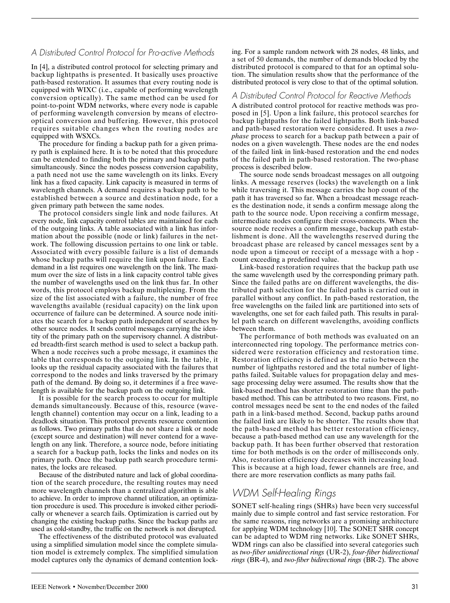### *A Distributed Control Protocol for Pro-active Methods*

In [4], a distributed control protocol for selecting primary and backup lightpaths is presented. It basically uses proactive path-based restoration. It assumes that every routing node is equipped with WIXC (i.e., capable of performing wavelength conversion optically). The same method can be used for point-to-point WDM networks, where every node is capable of performing wavelength conversion by means of electrooptical conversion and buffering. However, this protocol requires suitable changes when the routing nodes are equipped with WSXCs.

The procedure for finding a backup path for a given primary path is explained here. It is to be noted that this procedure can be extended to finding both the primary and backup paths simultaneously. Since the nodes possess conversion capability, a path need not use the same wavelength on its links. Every link has a fixed capacity. Link capacity is measured in terms of wavelength channels. A demand requires a backup path to be established between a source and destination node, for a given primary path between the same nodes.

The protocol considers single link and node failures. At every node, link capacity control tables are maintained for each of the outgoing links. A table associated with a link has information about the possible (node or link) failures in the network. The following discussion pertains to one link or table. Associated with every possible failure is a list of demands whose backup paths will require the link upon failure. Each demand in a list requires one wavelength on the link. The maximum over the size of lists in a link capacity control table gives the number of wavelengths used on the link thus far. In other words, this protocol employs backup multiplexing. From the size of the list associated with a failure, the number of free wavelengths available (residual capacity) on the link upon occurrence of failure can be determined. A source node initiates the search for a backup path independent of searches by other source nodes. It sends control messages carrying the identity of the primary path on the supervisory channel. A distributed breadth-first search method is used to select a backup path. When a node receives such a probe message, it examines the table that corresponds to the outgoing link. In the table, it looks up the residual capacity associated with the failures that correspond to the nodes and links traversed by the primary path of the demand. By doing so, it determines if a free wavelength is available for the backup path on the outgoing link.

It is possible for the search process to occur for multiple demands simultaneously. Because of this, resource (wavelength channel) contention may occur on a link, leading to a deadlock situation. This protocol prevents resource contention as follows. Two primary paths that do not share a link or node (except source and destination) will never contend for a wavelength on any link. Therefore, a source node, before initiating a search for a backup path, locks the links and nodes on its primary path. Once the backup path search procedure terminates, the locks are released.

Because of the distributed nature and lack of global coordination of the search procedure, the resulting routes may need more wavelength channels than a centralized algorithm is able to achieve. In order to improve channel utilization, an optimization procedure is used. This procedure is invoked either periodically or whenever a search fails. Optimization is carried out by changing the existing backup paths. Since the backup paths are used as cold-standby, the traffic on the network is not disrupted.

The effectiveness of the distributed protocol was evaluated using a simplified simulation model since the complete simulation model is extremely complex. The simplified simulation model captures only the dynamics of demand contention locking. For a sample random network with 28 nodes, 48 links, and a set of 50 demands, the number of demands blocked by the distributed protocol is compared to that for an optimal solution. The simulation results show that the performance of the distributed protocol is very close to that of the optimal solution.

### *A Distributed Control Protocol for Reactive Methods*

A distributed control protocol for reactive methods was proposed in [5]. Upon a link failure, this protocol searches for backup lightpaths for the failed lightpaths. Both link-based and path-based restoration were considered. It uses a *twophase* process to search for a backup path between a pair of nodes on a given wavelength. These nodes are the end nodes of the failed link in link-based restoration and the end nodes of the failed path in path-based restoration. The two-phase process is described below.

The source node sends broadcast messages on all outgoing links. A message reserves (locks) the wavelength on a link while traversing it. This message carries the hop count of the path it has traversed so far. When a broadcast message reaches the destination node, it sends a confirm message along the path to the source node. Upon receiving a confirm message, intermediate nodes configure their cross-connects. When the source node receives a confirm message, backup path establishment is done. All the wavelengths reserved during the broadcast phase are released by cancel messages sent by a node upon a timeout or receipt of a message with a hop count exceeding a predefined value.

Link-based restoration requires that the backup path use the same wavelength used by the corresponding primary path. Since the failed paths are on different wavelengths, the distributed path selection for the failed paths is carried out in parallel without any conflict. In path-based restoration, the free wavelengths on the failed link are partitioned into sets of wavelengths, one set for each failed path. This results in parallel path search on different wavelengths, avoiding conflicts between them.

The performance of both methods was evaluated on an interconnected ring topology. The performance metrics considered were restoration efficiency and restoration time. Restoration efficiency is defined as the ratio between the number of lightpaths restored and the total number of lightpaths failed. Suitable values for propagation delay and message processing delay were assumed. The results show that the link-based method has shorter restoration time than the pathbased method. This can be attributed to two reasons. First, no control messages need be sent to the end nodes of the failed path in a link-based method. Second, backup paths around the failed link are likely to be shorter. The results show that the path-based method has better restoration efficiency, because a path-based method can use any wavelength for the backup path. It has been further observed that restoration time for both methods is on the order of milliseconds only. Also, restoration efficiency decreases with increasing load. This is because at a high load, fewer channels are free, and there are more reservation conflicts as many paths fail.

### *WDM Self-Healing Rings*

SONET self-healing rings (SHRs) have been very successful mainly due to simple control and fast service restoration. For the same reasons, ring networks are a promising architecture for applying WDM technology [10]. The SONET SHR concept can be adapted to WDM ring networks. Like SONET SHRs, WDM rings can also be classified into several categories such as *two-fiber unidirectional rings* (UR-2), *four-fiber bidirectional rings* (BR-4), and *two-fiber bidirectional rings* (BR-2). The above